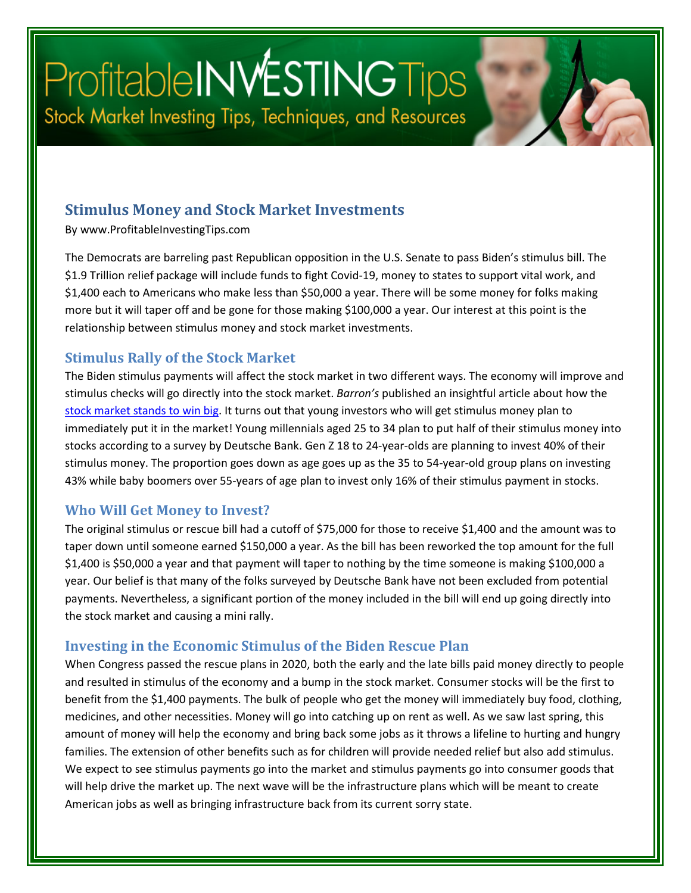# Profitable INVESTING Tips Stock Market Investing Tips, Techniques, and Resources

#### **Stimulus Money and Stock Market Investments**

By www.ProfitableInvestingTips.com

The Democrats are barreling past Republican opposition in the U.S. Senate to pass Biden's stimulus bill. The \$1.9 Trillion relief package will include funds to fight Covid-19, money to states to support vital work, and \$1,400 each to Americans who make less than \$50,000 a year. There will be some money for folks making more but it will taper off and be gone for those making \$100,000 a year. Our interest at this point is the relationship between stimulus money and stock market investments.

#### **Stimulus Rally of the Stock Market**

The Biden stimulus payments will affect the stock market in two different ways. The economy will improve and stimulus checks will go directly into the stock market. *Barron's* published an insightful article about how the [stock market stands to win big.](https://www.barrons.com/articles/the-stock-market-stands-to-win-big-in-a-new-stimulus-program-51614824503) It turns out that young investors who will get stimulus money plan to immediately put it in the market! Young millennials aged 25 to 34 plan to put half of their stimulus money into stocks according to a survey by Deutsche Bank. Gen Z 18 to 24-year-olds are planning to invest 40% of their stimulus money. The proportion goes down as age goes up as the 35 to 54-year-old group plans on investing 43% while baby boomers over 55-years of age plan to invest only 16% of their stimulus payment in stocks.

#### **Who Will Get Money to Invest?**

The original stimulus or rescue bill had a cutoff of \$75,000 for those to receive \$1,400 and the amount was to taper down until someone earned \$150,000 a year. As the bill has been reworked the top amount for the full \$1,400 is \$50,000 a year and that payment will taper to nothing by the time someone is making \$100,000 a year. Our belief is that many of the folks surveyed by Deutsche Bank have not been excluded from potential payments. Nevertheless, a significant portion of the money included in the bill will end up going directly into the stock market and causing a mini rally.

#### **Investing in the Economic Stimulus of the Biden Rescue Plan**

When Congress passed the rescue plans in 2020, both the early and the late bills paid money directly to people and resulted in stimulus of the economy and a bump in the stock market. Consumer stocks will be the first to benefit from the \$1,400 payments. The bulk of people who get the money will immediately buy food, clothing, medicines, and other necessities. Money will go into catching up on rent as well. As we saw last spring, this amount of money will help the economy and bring back some jobs as it throws a lifeline to hurting and hungry families. The extension of other benefits such as for children will provide needed relief but also add stimulus. We expect to see stimulus payments go into the market and stimulus payments go into consumer goods that will help drive the market up. The next wave will be the infrastructure plans which will be meant to create American jobs as well as bringing infrastructure back from its current sorry state.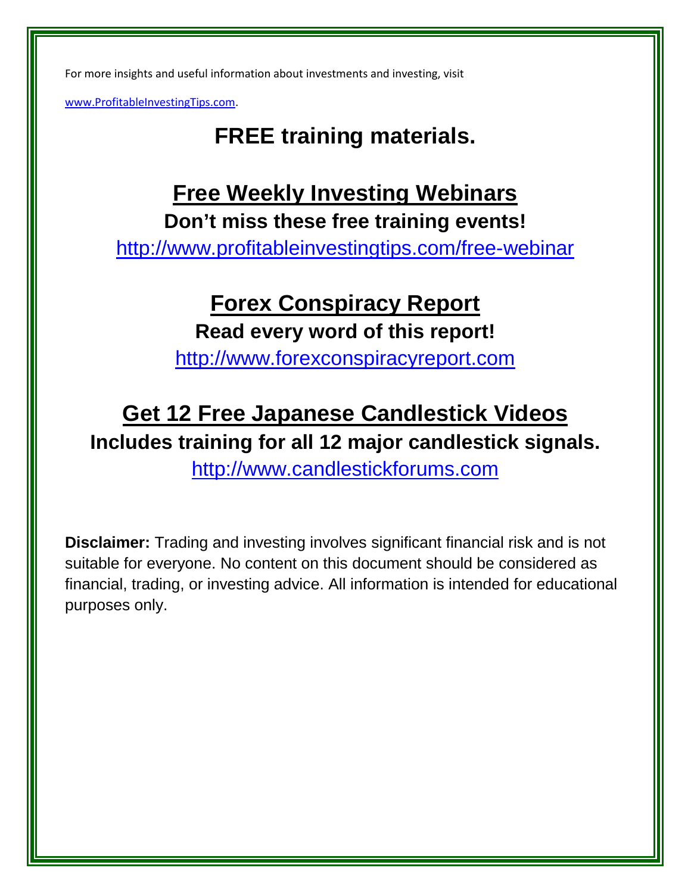For more insights and useful information about investments and investing, visit

[www.ProfitableInvestingTips.com.](http://www.profitableinvestingtips.com/)

# **FREE training materials.**

### **Free Weekly Investing Webinars Don't miss these free training events!**

<http://www.profitableinvestingtips.com/free-webinar>

# **Forex Conspiracy Report Read every word of this report!**

[http://www.forexconspiracyreport.com](http://www.forexconspiracyreport.com/)

# **Get 12 Free Japanese Candlestick Videos Includes training for all 12 major candlestick signals.**

[http://www.candlestickforums.com](http://www.candlestickforums.com/)

**Disclaimer:** Trading and investing involves significant financial risk and is not suitable for everyone. No content on this document should be considered as financial, trading, or investing advice. All information is intended for educational purposes only.